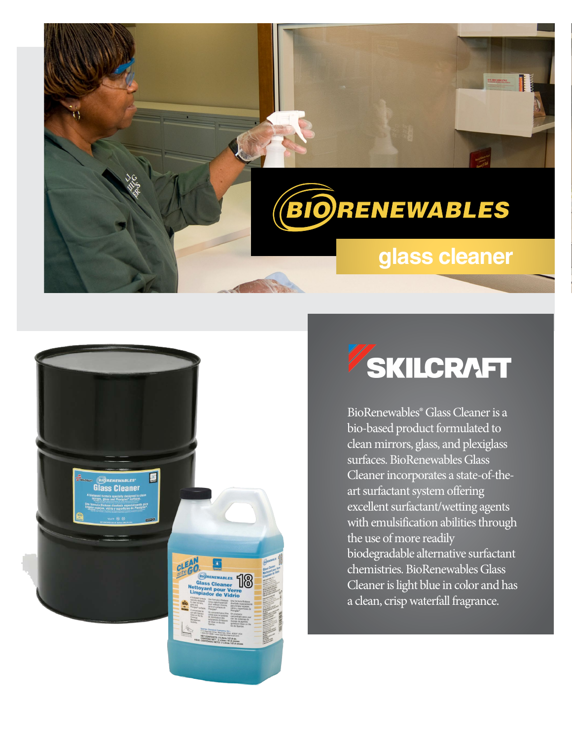

# **glass cleaner**



# **SKILCRAFT**

BioRenewables® GlassCleaner is a bio-based product formulated to clean mirrors, glass, and plexiglass surfaces. BioRenewables Glass Cleaner incorporates a state-ofthe-art surfactant system offering excellent surfactant/wetting agents with emulsification abilities through the use of more readily biodegradable alternative surfactant chemistries. BioRenewables Glass Cleaner is light blue in color and has a clean, crisp waterfall fragrance.